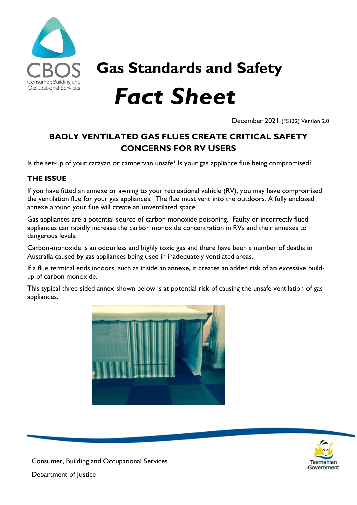

**Gas Standards and Safety**  *Fact Sheet*

December 2021 (FS132) Version 2.0

## **BADLY VENTILATED GAS FLUES CREATE CRITICAL SAFETY CONCERNS FOR RV USERS**

Is the set-up of your caravan or campervan unsafe? Is your gas appliance flue being compromised?

## **THE ISSUE**

If you have fitted an annexe or awning to your recreational vehicle (RV), you may have compromised the ventilation flue for your gas appliances. The flue must vent into the outdoors. A fully enclosed annexe around your flue will create an unventilated space.

Gas appliances are a potential source of carbon monoxide poisoning. Faulty or incorrectly flued appliances can rapidly increase the carbon monoxide concentration in RVs and their annexes to dangerous levels.

Carbon-monoxide is an odourless and highly toxic gas and there have been a number of deaths in Australia caused by gas appliances being used in inadequately ventilated areas.

If a flue terminal ends indoors, such as inside an annexe, it creates an added risk of an excessive buildup of carbon monoxide.

This typical three sided annex shown below is at potential risk of causing the unsafe ventilation of gas appliances.





Consumer, Building and Occupational Services

Department of Justice